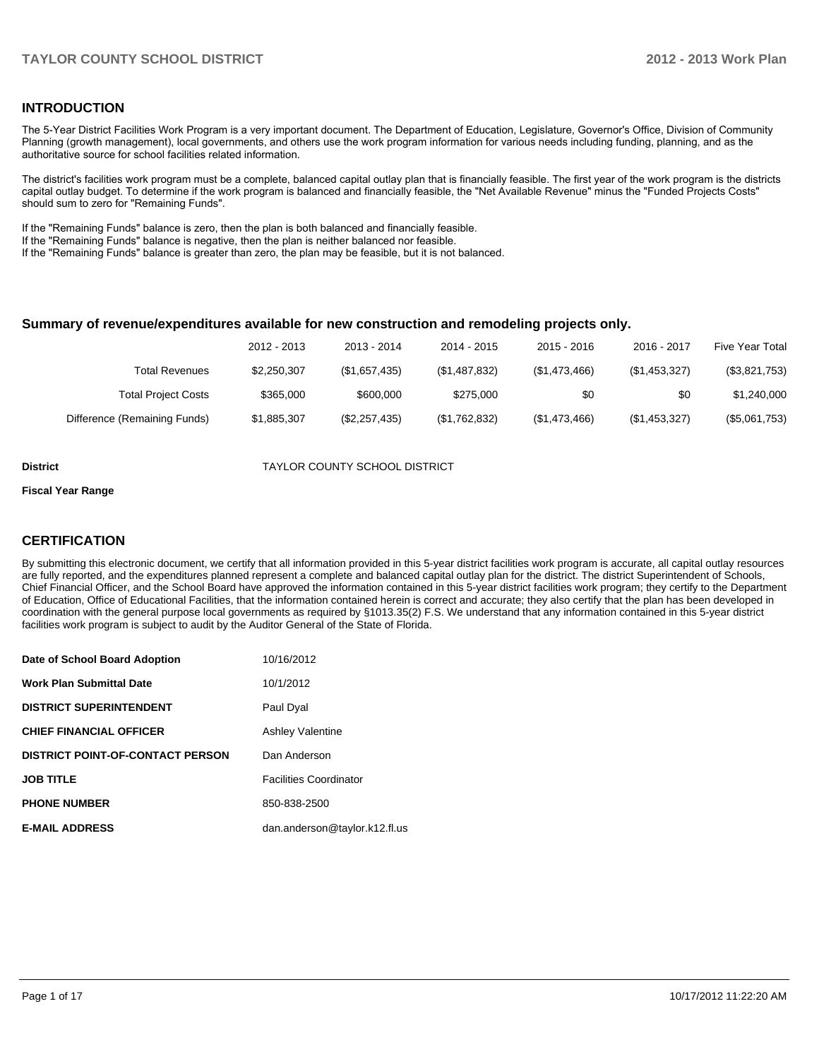### **INTRODUCTION**

The 5-Year District Facilities Work Program is a very important document. The Department of Education, Legislature, Governor's Office, Division of Community Planning (growth management), local governments, and others use the work program information for various needs including funding, planning, and as the authoritative source for school facilities related information.

The district's facilities work program must be a complete, balanced capital outlay plan that is financially feasible. The first year of the work program is the districts capital outlay budget. To determine if the work program is balanced and financially feasible, the "Net Available Revenue" minus the "Funded Projects Costs" should sum to zero for "Remaining Funds".

If the "Remaining Funds" balance is zero, then the plan is both balanced and financially feasible.

If the "Remaining Funds" balance is negative, then the plan is neither balanced nor feasible.

If the "Remaining Funds" balance is greater than zero, the plan may be feasible, but it is not balanced.

#### **Summary of revenue/expenditures available for new construction and remodeling projects only.**

|                              | 2012 - 2013 | 2013 - 2014   | 2014 - 2015   | 2015 - 2016   | 2016 - 2017   | <b>Five Year Total</b> |
|------------------------------|-------------|---------------|---------------|---------------|---------------|------------------------|
| <b>Total Revenues</b>        | \$2,250,307 | (\$1,657,435) | (\$1,487,832) | (\$1,473,466) | (\$1,453,327) | (\$3,821,753)          |
| <b>Total Project Costs</b>   | \$365,000   | \$600,000     | \$275,000     | \$0           | \$0           | \$1,240,000            |
| Difference (Remaining Funds) | \$1,885,307 | (\$2,257,435) | (\$1,762,832) | (\$1,473,466) | (\$1,453,327) | (\$5,061,753)          |

**District** TAYLOR COUNTY SCHOOL DISTRICT

#### **Fiscal Year Range**

### **CERTIFICATION**

By submitting this electronic document, we certify that all information provided in this 5-year district facilities work program is accurate, all capital outlay resources are fully reported, and the expenditures planned represent a complete and balanced capital outlay plan for the district. The district Superintendent of Schools, Chief Financial Officer, and the School Board have approved the information contained in this 5-year district facilities work program; they certify to the Department of Education, Office of Educational Facilities, that the information contained herein is correct and accurate; they also certify that the plan has been developed in coordination with the general purpose local governments as required by §1013.35(2) F.S. We understand that any information contained in this 5-year district facilities work program is subject to audit by the Auditor General of the State of Florida.

| Date of School Board Adoption           | 10/16/2012                    |
|-----------------------------------------|-------------------------------|
| <b>Work Plan Submittal Date</b>         | 10/1/2012                     |
| <b>DISTRICT SUPERINTENDENT</b>          | Paul Dyal                     |
| <b>CHIEF FINANCIAL OFFICER</b>          | <b>Ashley Valentine</b>       |
| <b>DISTRICT POINT-OF-CONTACT PERSON</b> | Dan Anderson                  |
| <b>JOB TITLE</b>                        | <b>Facilities Coordinator</b> |
| <b>PHONE NUMBER</b>                     | 850-838-2500                  |
| <b>E-MAIL ADDRESS</b>                   | dan.anderson@taylor.k12.fl.us |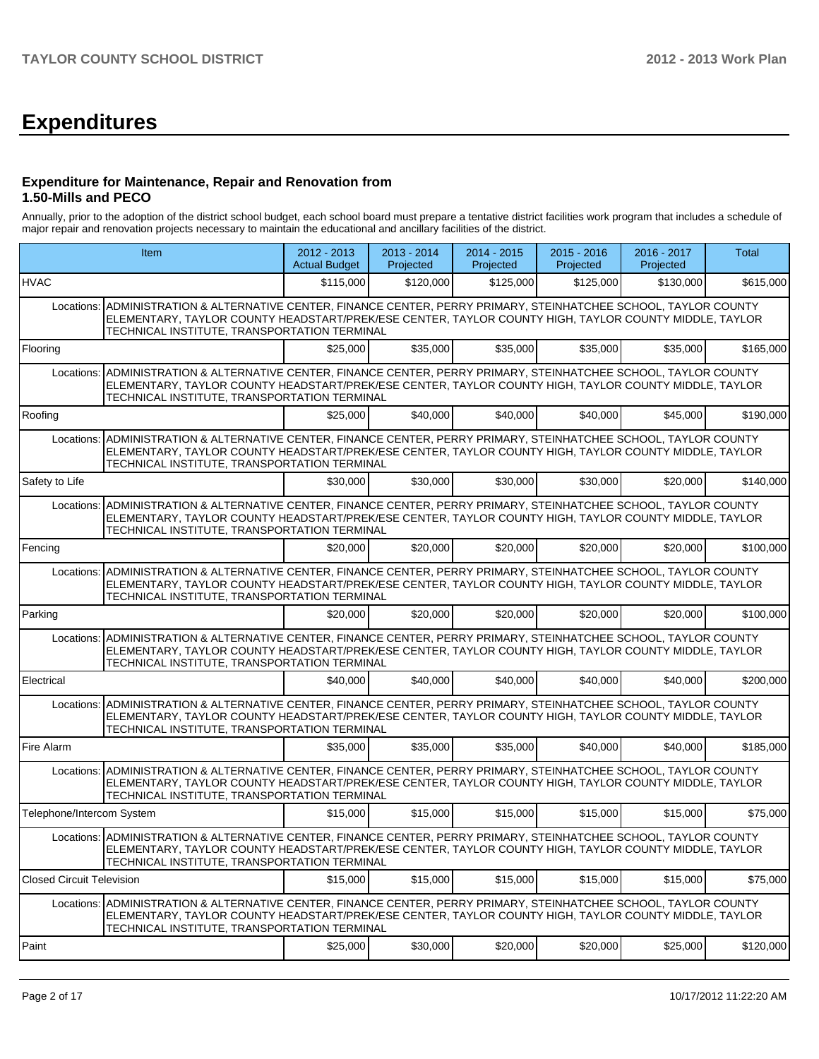# **Expenditures**

### **Expenditure for Maintenance, Repair and Renovation from 1.50-Mills and PECO**

Annually, prior to the adoption of the district school budget, each school board must prepare a tentative district facilities work program that includes a schedule of major repair and renovation projects necessary to maintain the educational and ancillary facilities of the district.

|                                  | Item                                                                                                                                                                                                                                                                       |           | 2013 - 2014<br>Projected | 2014 - 2015<br>Projected | 2015 - 2016<br>Projected | 2016 - 2017<br>Projected | <b>Total</b> |
|----------------------------------|----------------------------------------------------------------------------------------------------------------------------------------------------------------------------------------------------------------------------------------------------------------------------|-----------|--------------------------|--------------------------|--------------------------|--------------------------|--------------|
| <b>HVAC</b>                      |                                                                                                                                                                                                                                                                            | \$115,000 | \$120,000                | \$125,000                | \$125,000                | \$130,000                | \$615,000    |
| Locations:                       | ADMINISTRATION & ALTERNATIVE CENTER, FINANCE CENTER, PERRY PRIMARY, STEINHATCHEE SCHOOL, TAYLOR COUNTY<br>ELEMENTARY, TAYLOR COUNTY HEADSTART/PREK/ESE CENTER, TAYLOR COUNTY HIGH, TAYLOR COUNTY MIDDLE, TAYLOR<br>TECHNICAL INSTITUTE, TRANSPORTATION TERMINAL            |           |                          |                          |                          |                          |              |
| Flooring                         |                                                                                                                                                                                                                                                                            | \$25,000  | \$35,000                 | \$35,000                 | \$35,000                 | \$35,000                 | \$165,000    |
| Locations:                       | ADMINISTRATION & ALTERNATIVE CENTER, FINANCE CENTER, PERRY PRIMARY, STEINHATCHEE SCHOOL, TAYLOR COUNTY<br>ELEMENTARY, TAYLOR COUNTY HEADSTART/PREK/ESE CENTER, TAYLOR COUNTY HIGH, TAYLOR COUNTY MIDDLE, TAYLOR<br>TECHNICAL INSTITUTE, TRANSPORTATION TERMINAL            |           |                          |                          |                          |                          |              |
| Roofing                          |                                                                                                                                                                                                                                                                            | \$25,000  | \$40,000                 | \$40,000                 | \$40,000                 | \$45,000                 | \$190,000    |
| Locations:                       | ADMINISTRATION & ALTERNATIVE CENTER, FINANCE CENTER, PERRY PRIMARY, STEINHATCHEE SCHOOL, TAYLOR COUNTY<br>ELEMENTARY, TAYLOR COUNTY HEADSTART/PREK/ESE CENTER, TAYLOR COUNTY HIGH, TAYLOR COUNTY MIDDLE, TAYLOR<br>TECHNICAL INSTITUTE, TRANSPORTATION TERMINAL            |           |                          |                          |                          |                          |              |
| Safety to Life                   |                                                                                                                                                                                                                                                                            | \$30,000  | \$30,000                 | \$30,000                 | \$30,000                 | \$20,000                 | \$140,000    |
| Locations:                       | ADMINISTRATION & ALTERNATIVE CENTER, FINANCE CENTER, PERRY PRIMARY, STEINHATCHEE SCHOOL, TAYLOR COUNTY<br>ELEMENTARY, TAYLOR COUNTY HEADSTART/PREK/ESE CENTER, TAYLOR COUNTY HIGH, TAYLOR COUNTY MIDDLE, TAYLOR<br>TECHNICAL INSTITUTE, TRANSPORTATION TERMINAL            |           |                          |                          |                          |                          |              |
| Fencing                          |                                                                                                                                                                                                                                                                            | \$20,000  | \$20,000                 | \$20,000                 | \$20,000                 | \$20,000                 | \$100,000    |
| Locations:                       | ADMINISTRATION & ALTERNATIVE CENTER, FINANCE CENTER, PERRY PRIMARY, STEINHATCHEE SCHOOL, TAYLOR COUNTY<br>ELEMENTARY, TAYLOR COUNTY HEADSTART/PREK/ESE CENTER, TAYLOR COUNTY HIGH, TAYLOR COUNTY MIDDLE, TAYLOR<br>TECHNICAL INSTITUTE, TRANSPORTATION TERMINAL            |           |                          |                          |                          |                          |              |
| Parking                          |                                                                                                                                                                                                                                                                            | \$20,000  | \$20,000                 | \$20,000                 | \$20,000                 | \$20,000                 | \$100,000    |
| Locations:                       | ADMINISTRATION & ALTERNATIVE CENTER, FINANCE CENTER, PERRY PRIMARY, STEINHATCHEE SCHOOL, TAYLOR COUNTY<br>ELEMENTARY, TAYLOR COUNTY HEADSTART/PREK/ESE CENTER, TAYLOR COUNTY HIGH, TAYLOR COUNTY MIDDLE, TAYLOR<br>TECHNICAL INSTITUTE, TRANSPORTATION TERMINAL            |           |                          |                          |                          |                          |              |
| Electrical                       |                                                                                                                                                                                                                                                                            | \$40,000  | \$40,000                 | \$40,000                 | \$40,000                 | \$40,000                 | \$200,000    |
| Locations:                       | ADMINISTRATION & ALTERNATIVE CENTER, FINANCE CENTER, PERRY PRIMARY, STEINHATCHEE SCHOOL, TAYLOR COUNTY<br>ELEMENTARY, TAYLOR COUNTY HEADSTART/PREK/ESE CENTER, TAYLOR COUNTY HIGH, TAYLOR COUNTY MIDDLE, TAYLOR<br>TECHNICAL INSTITUTE, TRANSPORTATION TERMINAL            |           |                          |                          |                          |                          |              |
| Fire Alarm                       |                                                                                                                                                                                                                                                                            | \$35,000  | \$35,000                 | \$35,000                 | \$40,000                 | \$40,000                 | \$185,000    |
|                                  | Locations: ADMINISTRATION & ALTERNATIVE CENTER, FINANCE CENTER, PERRY PRIMARY, STEINHATCHEE SCHOOL, TAYLOR COUNTY<br>ELEMENTARY, TAYLOR COUNTY HEADSTART/PREK/ESE CENTER, TAYLOR COUNTY HIGH, TAYLOR COUNTY MIDDLE, TAYLOR<br>TECHNICAL INSTITUTE, TRANSPORTATION TERMINAL |           |                          |                          |                          |                          |              |
| Telephone/Intercom System        |                                                                                                                                                                                                                                                                            | \$15,000  | \$15,000                 | \$15,000                 | \$15,000                 | \$15,000                 | \$75,000     |
|                                  | Locations: ADMINISTRATION & ALTERNATIVE CENTER, FINANCE CENTER, PERRY PRIMARY, STEINHATCHEE SCHOOL, TAYLOR COUNTY<br>ELEMENTARY, TAYLOR COUNTY HEADSTART/PREK/ESE CENTER, TAYLOR COUNTY HIGH, TAYLOR COUNTY MIDDLE, TAYLOR<br>TECHNICAL INSTITUTE, TRANSPORTATION TERMINAL |           |                          |                          |                          |                          |              |
| <b>Closed Circuit Television</b> |                                                                                                                                                                                                                                                                            | \$15,000  | \$15,000                 | \$15,000                 | \$15,000                 | \$15,000                 | \$75,000     |
| Locations:                       | ADMINISTRATION & ALTERNATIVE CENTER, FINANCE CENTER, PERRY PRIMARY, STEINHATCHEE SCHOOL, TAYLOR COUNTY<br>ELEMENTARY, TAYLOR COUNTY HEADSTART/PREK/ESE CENTER, TAYLOR COUNTY HIGH, TAYLOR COUNTY MIDDLE, TAYLOR<br>TECHNICAL INSTITUTE, TRANSPORTATION TERMINAL            |           |                          |                          |                          |                          |              |
| Paint                            |                                                                                                                                                                                                                                                                            | \$25,000  | \$30,000                 | \$20,000                 | \$20,000                 | \$25,000                 | \$120,000    |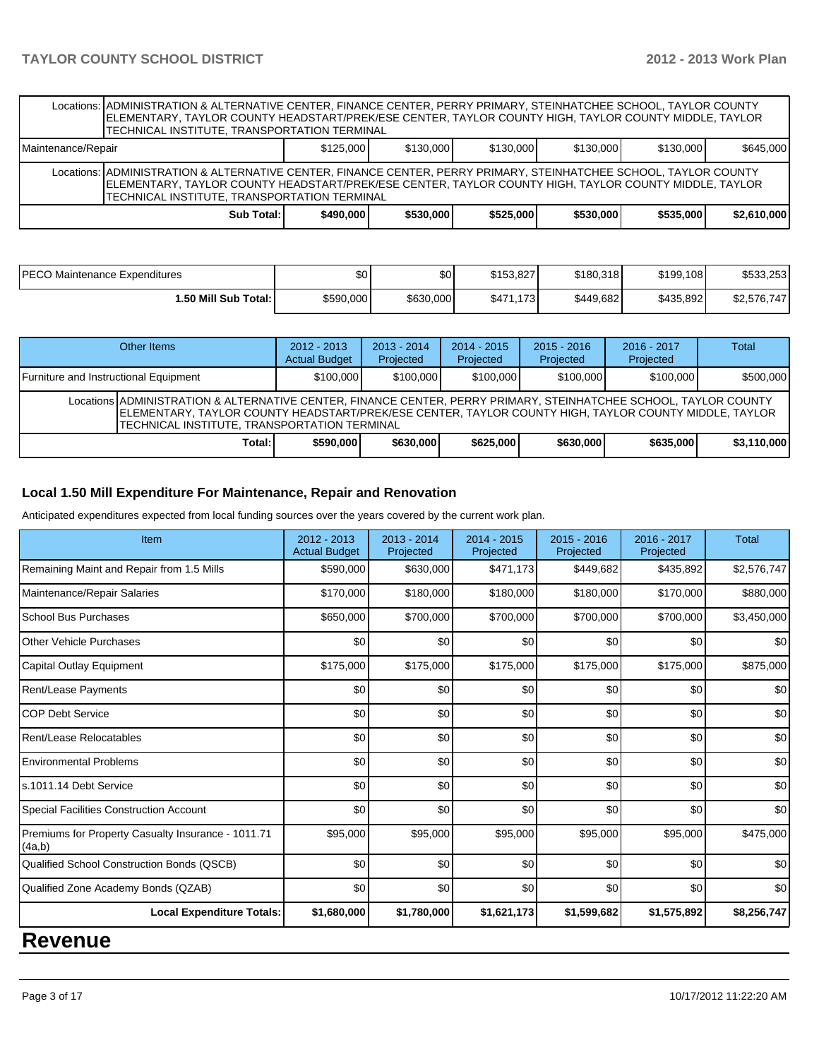|                                                                                                                                                                                                                                                                            | Locations: ADMINISTRATION & ALTERNATIVE CENTER, FINANCE CENTER, PERRY PRIMARY, STEINHATCHEE SCHOOL, TAYLOR COUNTY<br>ELEMENTARY, TAYLOR COUNTY HEADSTART/PREK/ESE CENTER, TAYLOR COUNTY HIGH, TAYLOR COUNTY MIDDLE, TAYLOR<br>TECHNICAL INSTITUTE, TRANSPORTATION TERMINAL |           |           |           |           |           |             |  |  |  |
|----------------------------------------------------------------------------------------------------------------------------------------------------------------------------------------------------------------------------------------------------------------------------|----------------------------------------------------------------------------------------------------------------------------------------------------------------------------------------------------------------------------------------------------------------------------|-----------|-----------|-----------|-----------|-----------|-------------|--|--|--|
| Maintenance/Repair                                                                                                                                                                                                                                                         | \$130,000<br>\$130,000<br>\$125,000<br>\$130,000<br>\$130,000                                                                                                                                                                                                              |           |           |           |           |           | \$645,000   |  |  |  |
| Locations: ADMINISTRATION & ALTERNATIVE CENTER, FINANCE CENTER, PERRY PRIMARY, STEINHATCHEE SCHOOL, TAYLOR COUNTY<br>ELEMENTARY, TAYLOR COUNTY HEADSTART/PREK/ESE CENTER, TAYLOR COUNTY HIGH, TAYLOR COUNTY MIDDLE, TAYLOR<br>TECHNICAL INSTITUTE, TRANSPORTATION TERMINAL |                                                                                                                                                                                                                                                                            |           |           |           |           |           |             |  |  |  |
|                                                                                                                                                                                                                                                                            | Sub Total:                                                                                                                                                                                                                                                                 | \$490,000 | \$530,000 | \$525,000 | \$530,000 | \$535,000 | \$2,610,000 |  |  |  |

| IPECO Maintenance Expenditures | \$0       | \$0       | \$153.827 | \$180.318 | \$199,108 | \$533.253   |
|--------------------------------|-----------|-----------|-----------|-----------|-----------|-------------|
| 1.50 Mill Sub Total: İ         | \$590,000 | \$630,000 | \$471.173 | \$449.682 | \$435,892 | \$2.576.747 |

| Other Items                                                                                                                                                                                                                                                                | $2012 - 2013$<br><b>Actual Budget</b> | $2013 - 2014$<br>Projected | $2014 - 2015$<br>Projected | $2015 - 2016$<br>Projected | $2016 - 2017$<br>Projected | Total       |  |  |
|----------------------------------------------------------------------------------------------------------------------------------------------------------------------------------------------------------------------------------------------------------------------------|---------------------------------------|----------------------------|----------------------------|----------------------------|----------------------------|-------------|--|--|
| Furniture and Instructional Equipment                                                                                                                                                                                                                                      | \$100,000                             | \$100,000                  | \$100,000                  | \$100,000                  | \$100,000                  | \$500,000   |  |  |
| Locations ADMINISTRATION & ALTERNATIVE CENTER, FINANCE CENTER, PERRY PRIMARY, STEINHATCHEE SCHOOL, TAYLOR COUNTY<br>IELEMENTARY. TAYLOR COUNTY HEADSTART/PREK/ESE CENTER. TAYLOR COUNTY HIGH. TAYLOR COUNTY MIDDLE. TAYLOR<br>TECHNICAL INSTITUTE. TRANSPORTATION TERMINAL |                                       |                            |                            |                            |                            |             |  |  |
| Total: I                                                                                                                                                                                                                                                                   | \$590,000                             | \$630,000                  | \$625,000                  | \$630,000                  | \$635,000                  | \$3,110,000 |  |  |

## **Local 1.50 Mill Expenditure For Maintenance, Repair and Renovation**

Anticipated expenditures expected from local funding sources over the years covered by the current work plan.

| Item                                                         | 2012 - 2013<br><b>Actual Budget</b> | $2013 - 2014$<br>Projected | $2014 - 2015$<br>Projected | 2015 - 2016<br>Projected | 2016 - 2017<br>Projected | <b>Total</b> |
|--------------------------------------------------------------|-------------------------------------|----------------------------|----------------------------|--------------------------|--------------------------|--------------|
| Remaining Maint and Repair from 1.5 Mills                    | \$590,000                           | \$630,000                  | \$471,173                  | \$449,682                | \$435,892                | \$2,576,747  |
| Maintenance/Repair Salaries                                  | \$170,000                           | \$180,000                  | \$180,000                  | \$180,000                | \$170,000                | \$880,000    |
| School Bus Purchases                                         | \$650,000                           | \$700,000                  | \$700,000                  | \$700,000                | \$700,000                | \$3,450,000  |
| Other Vehicle Purchases                                      | \$0                                 | \$0                        | \$0                        | \$0                      | \$0                      | \$0          |
| Capital Outlay Equipment                                     | \$175,000                           | \$175,000                  | \$175,000                  | \$175,000                | \$175,000                | \$875,000    |
| Rent/Lease Payments                                          | \$0                                 | \$0                        | \$0                        | \$0                      | \$0                      | \$0          |
| <b>COP Debt Service</b>                                      | \$0                                 | \$0                        | \$0                        | \$0                      | \$0                      | \$0          |
| Rent/Lease Relocatables                                      | \$0                                 | \$0                        | \$0                        | \$0                      | \$0                      | \$0          |
| <b>Environmental Problems</b>                                | \$0                                 | \$0                        | \$0                        | \$0                      | \$0                      | \$0          |
| s.1011.14 Debt Service                                       | \$0                                 | \$0                        | \$0                        | \$0                      | \$0                      | \$0          |
| Special Facilities Construction Account                      | \$0                                 | \$0                        | \$0                        | \$0                      | \$0                      | \$0          |
| Premiums for Property Casualty Insurance - 1011.71<br>(4a,b) | \$95,000                            | \$95,000                   | \$95,000                   | \$95,000                 | \$95,000                 | \$475,000    |
| Qualified School Construction Bonds (QSCB)                   | \$0                                 | \$0                        | \$0                        | \$0                      | \$0                      | \$0          |
| Qualified Zone Academy Bonds (QZAB)                          | \$0                                 | \$0                        | \$0                        | \$0                      | \$0                      | \$0          |
| <b>Local Expenditure Totals:</b>                             | \$1,680,000                         | \$1,780,000                | \$1,621,173                | \$1,599,682              | \$1,575,892              | \$8,256,747  |

# **Revenue**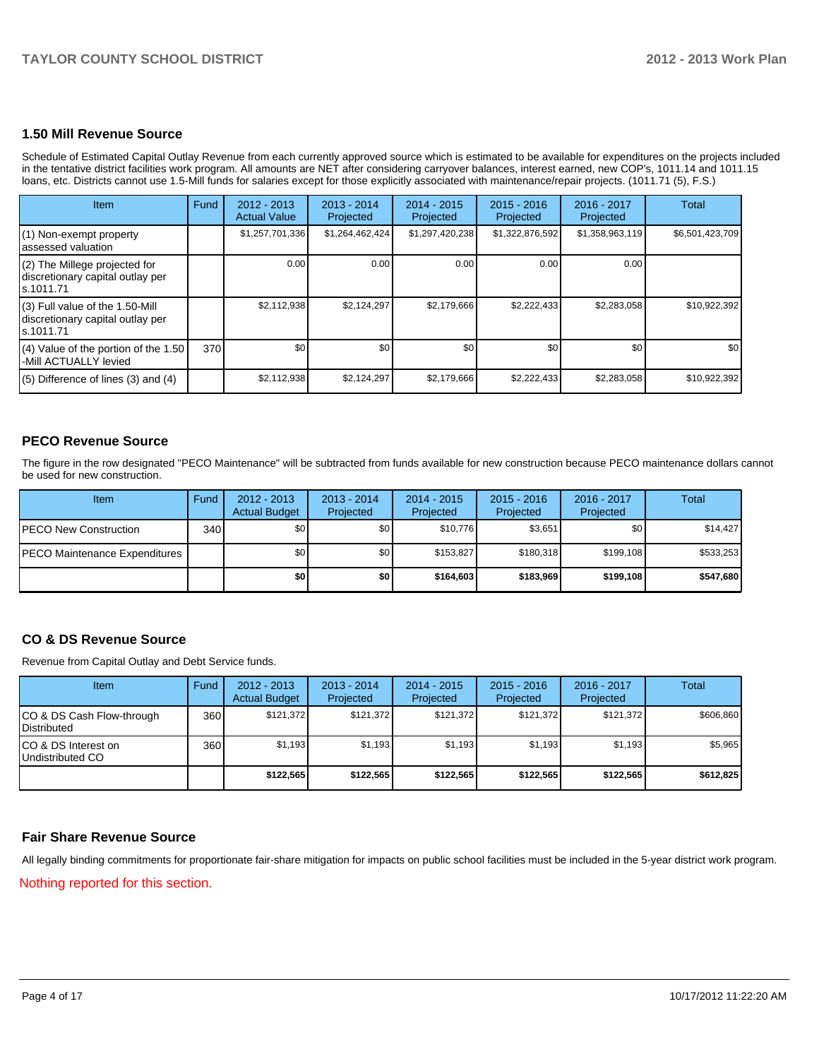### **1.50 Mill Revenue Source**

Schedule of Estimated Capital Outlay Revenue from each currently approved source which is estimated to be available for expenditures on the projects included in the tentative district facilities work program. All amounts are NET after considering carryover balances, interest earned, new COP's, 1011.14 and 1011.15 loans, etc. Districts cannot use 1.5-Mill funds for salaries except for those explicitly associated with maintenance/repair projects. (1011.71 (5), F.S.)

| Item                                                                                | Fund | $2012 - 2013$<br><b>Actual Value</b> | $2013 - 2014$<br>Projected | $2014 - 2015$<br>Projected | $2015 - 2016$<br>Projected | 2016 - 2017<br>Projected | Total           |
|-------------------------------------------------------------------------------------|------|--------------------------------------|----------------------------|----------------------------|----------------------------|--------------------------|-----------------|
| (1) Non-exempt property<br>lassessed valuation                                      |      | \$1,257,701,336                      | \$1,264,462,424            | \$1,297,420,238            | \$1,322,876,592            | \$1,358,963,119          | \$6,501,423,709 |
| $(2)$ The Millege projected for<br>discretionary capital outlay per<br>ls.1011.71   |      | 0.00                                 | 0.00                       | 0.00                       | 0.00                       | 0.00                     |                 |
| $(3)$ Full value of the 1.50-Mill<br>discretionary capital outlay per<br>ls.1011.71 |      | \$2,112,938                          | \$2,124,297                | \$2,179,666                | \$2,222,433                | \$2,283,058              | \$10,922,392    |
| (4) Value of the portion of the 1.50<br>-Mill ACTUALLY levied                       | 370  | \$0                                  | \$0                        | \$0 <sub>1</sub>           | \$0                        | \$0 <sub>1</sub>         | \$0             |
| $(5)$ Difference of lines (3) and (4)                                               |      | \$2,112,938                          | \$2,124,297                | \$2,179,666                | \$2,222,433                | \$2,283,058              | \$10,922,392    |

### **PECO Revenue Source**

The figure in the row designated "PECO Maintenance" will be subtracted from funds available for new construction because PECO maintenance dollars cannot be used for new construction.

| <b>Item</b>                           | Fund | $2012 - 2013$<br><b>Actual Budget</b> | $2013 - 2014$<br>Projected | $2014 - 2015$<br>Projected | $2015 - 2016$<br>Projected | $2016 - 2017$<br>Projected | Total     |
|---------------------------------------|------|---------------------------------------|----------------------------|----------------------------|----------------------------|----------------------------|-----------|
| <b>IPECO New Construction</b>         | 340  | \$0                                   | \$0                        | \$10.776                   | \$3.651                    | \$0 <sub>1</sub>           | \$14.427  |
| <b>IPECO Maintenance Expenditures</b> |      | \$0                                   | \$0 <sub>1</sub>           | \$153.827                  | \$180.318                  | \$199.108                  | \$533.253 |
|                                       |      | \$0                                   | \$0                        | \$164,603                  | \$183,969                  | \$199,108                  | \$547,680 |

### **CO & DS Revenue Source**

Revenue from Capital Outlay and Debt Service funds.

| Item                                             | Fund | $2012 - 2013$<br><b>Actual Budget</b> | $2013 - 2014$<br>Projected | 2014 - 2015<br>Projected | $2015 - 2016$<br>Projected | 2016 - 2017<br>Projected | Total     |
|--------------------------------------------------|------|---------------------------------------|----------------------------|--------------------------|----------------------------|--------------------------|-----------|
| ICO & DS Cash Flow-through<br><b>Distributed</b> | 360  | \$121.372                             | \$121.372                  | \$121.372                | \$121.372                  | \$121.372                | \$606,860 |
| ICO & DS Interest on<br>Undistributed CO         | 360  | \$1.193                               | \$1,193                    | \$1,193                  | \$1,193                    | \$1,193                  | \$5,965   |
|                                                  |      | \$122,565                             | \$122,565                  | \$122,565                | \$122,565                  | \$122,565                | \$612,825 |

### **Fair Share Revenue Source**

All legally binding commitments for proportionate fair-share mitigation for impacts on public school facilities must be included in the 5-year district work program.

Nothing reported for this section.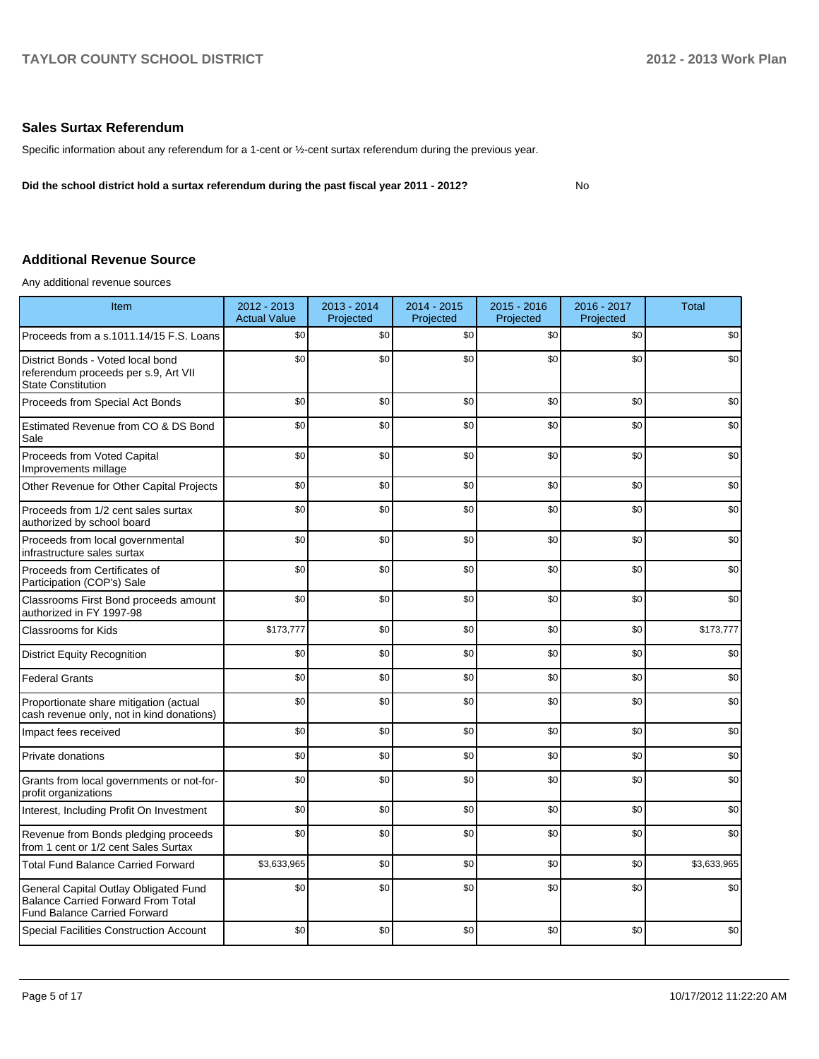No

### **Sales Surtax Referendum**

Specific information about any referendum for a 1-cent or ½-cent surtax referendum during the previous year.

**Did the school district hold a surtax referendum during the past fiscal year 2011 - 2012?**

## **Additional Revenue Source**

Any additional revenue sources

| Item                                                                                                                      | 2012 - 2013<br><b>Actual Value</b> | 2013 - 2014<br>Projected | 2014 - 2015<br>Projected | $2015 - 2016$<br>Projected | 2016 - 2017<br>Projected | <b>Total</b> |
|---------------------------------------------------------------------------------------------------------------------------|------------------------------------|--------------------------|--------------------------|----------------------------|--------------------------|--------------|
| Proceeds from a s.1011.14/15 F.S. Loans                                                                                   | \$0                                | \$0                      | \$0                      | \$0                        | \$0                      | \$0          |
| District Bonds - Voted local bond<br>referendum proceeds per s.9, Art VII<br><b>State Constitution</b>                    | \$0                                | \$0                      | \$0                      | \$0                        | \$0                      | \$0          |
| Proceeds from Special Act Bonds                                                                                           | \$0                                | \$0                      | \$0                      | \$0                        | \$0                      | \$0          |
| Estimated Revenue from CO & DS Bond<br>Sale                                                                               | \$0                                | \$0                      | \$0                      | \$0                        | \$0                      | \$0          |
| Proceeds from Voted Capital<br>Improvements millage                                                                       | \$0                                | \$0                      | \$0                      | \$0                        | \$0                      | \$0          |
| Other Revenue for Other Capital Projects                                                                                  | \$0                                | \$0                      | \$0                      | \$0                        | \$0                      | \$0          |
| Proceeds from 1/2 cent sales surtax<br>authorized by school board                                                         | \$0                                | \$0                      | \$0                      | \$0                        | \$0                      | \$0          |
| Proceeds from local governmental<br>infrastructure sales surtax                                                           | \$0                                | \$0                      | \$0                      | \$0                        | \$0                      | \$0          |
| Proceeds from Certificates of<br>Participation (COP's) Sale                                                               | \$0                                | \$0                      | \$0                      | \$0                        | \$0                      | \$0          |
| Classrooms First Bond proceeds amount<br>authorized in FY 1997-98                                                         | \$0                                | \$0                      | \$0                      | \$0                        | \$0                      | \$0          |
| <b>Classrooms for Kids</b>                                                                                                | \$173,777                          | \$0                      | \$0                      | \$0                        | \$0                      | \$173,777    |
| <b>District Equity Recognition</b>                                                                                        | \$0                                | \$0                      | \$0                      | \$0                        | \$0                      | \$0          |
| <b>Federal Grants</b>                                                                                                     | \$0                                | \$0                      | \$0                      | \$0                        | \$0                      | \$0          |
| Proportionate share mitigation (actual<br>cash revenue only, not in kind donations)                                       | \$0                                | \$0                      | \$0                      | \$0                        | \$0                      | \$0          |
| Impact fees received                                                                                                      | \$0                                | \$0                      | \$0                      | \$0                        | \$0                      | \$0          |
| Private donations                                                                                                         | \$0                                | \$0                      | \$0                      | \$0                        | \$0                      | \$0          |
| Grants from local governments or not-for-<br>profit organizations                                                         | \$0                                | \$0                      | \$0                      | \$0                        | \$0                      | \$0          |
| Interest, Including Profit On Investment                                                                                  | \$0                                | \$0                      | \$0                      | \$0                        | \$0                      | \$0          |
| Revenue from Bonds pledging proceeds<br>from 1 cent or 1/2 cent Sales Surtax                                              | \$0                                | \$0                      | \$0                      | \$0                        | \$0                      | \$0          |
| <b>Total Fund Balance Carried Forward</b>                                                                                 | \$3,633,965                        | \$0                      | \$0                      | \$0                        | \$0                      | \$3,633,965  |
| General Capital Outlay Obligated Fund<br><b>Balance Carried Forward From Total</b><br><b>Fund Balance Carried Forward</b> | \$0                                | \$0                      | \$0                      | \$0                        | \$0                      | \$0          |
| <b>Special Facilities Construction Account</b>                                                                            | \$0                                | \$0                      | \$0                      | \$0                        | \$0                      | \$0          |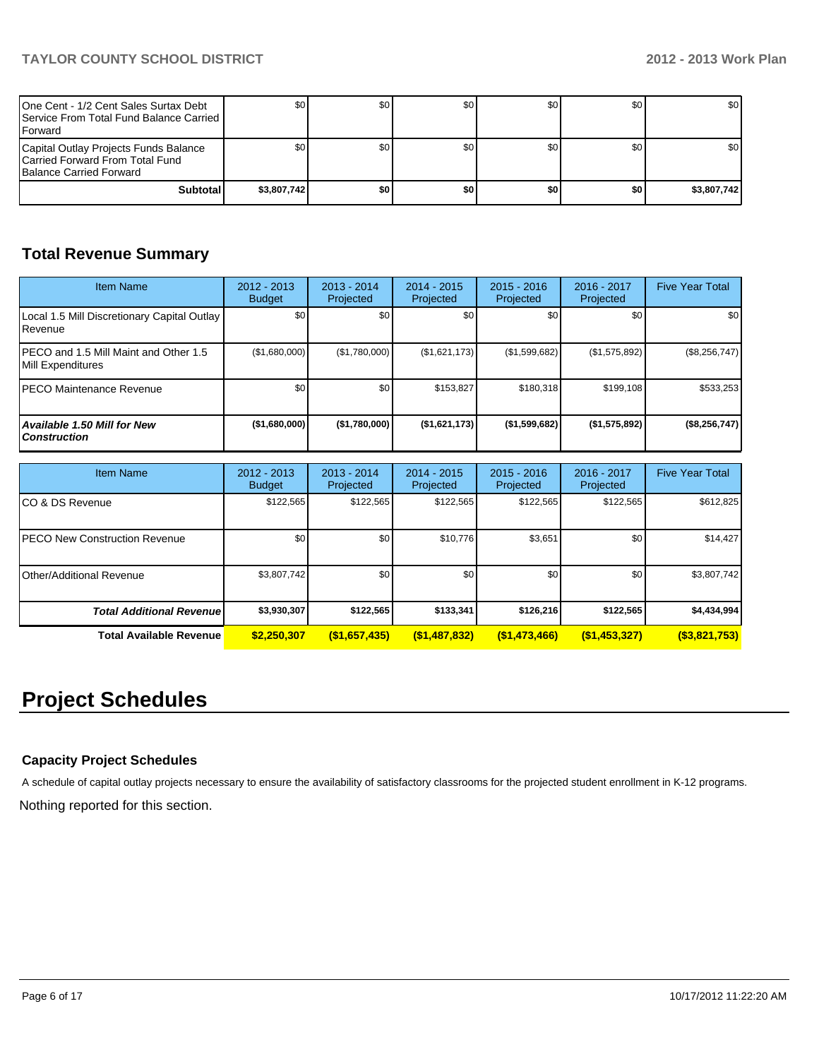| One Cent - 1/2 Cent Sales Surtax Debt<br><b>I</b> Service From Total Fund Balance Carried I<br><b>IForward</b> |             | \$0  | \$0 | SO I | \$0 | \$0 <sub>1</sub> |
|----------------------------------------------------------------------------------------------------------------|-------------|------|-----|------|-----|------------------|
| Capital Outlay Projects Funds Balance<br>Carried Forward From Total Fund<br><b>IBalance Carried Forward</b>    |             | SO 1 | \$0 | SO I | \$0 | \$0 <sub>1</sub> |
| Subtotal                                                                                                       | \$3,807.742 | \$0  | \$0 | \$0  | \$0 | \$3,807,742      |

# **Total Revenue Summary**

| <b>Item Name</b>                                              | 2012 - 2013<br><b>Budget</b> | $2013 - 2014$<br>Projected | 2014 - 2015<br>Projected | $2015 - 2016$<br>Projected | 2016 - 2017<br>Projected | <b>Five Year Total</b> |
|---------------------------------------------------------------|------------------------------|----------------------------|--------------------------|----------------------------|--------------------------|------------------------|
| Local 1.5 Mill Discretionary Capital Outlay<br><b>Revenue</b> | \$0                          | \$0 <sub>1</sub>           | \$0                      | \$0                        | \$0                      | \$0                    |
| IPECO and 1.5 Mill Maint and Other 1.5<br>Mill Expenditures   | (\$1,680,000)                | (\$1,780,000)              | (\$1,621,173)            | (S1, 599, 682)             | (\$1,575,892)            | $(\$8,256,747)$        |
| IPECO Maintenance Revenue                                     | \$0                          | \$0                        | \$153.827                | \$180.318                  | \$199,108                | \$533,253              |
| <b>Available 1.50 Mill for New</b><br>l Construction          | (\$1,680,000]                | (\$1,780,000]              | (\$1,621,173)            | ( \$1,599,682)             | (S1, 575, 892)           | (\$8,256,747)          |

| <b>Item Name</b>                      | 2012 - 2013<br><b>Budget</b> | $2013 - 2014$<br>Projected | $2014 - 2015$<br>Projected | $2015 - 2016$<br>Projected | 2016 - 2017<br>Projected | <b>Five Year Total</b> |
|---------------------------------------|------------------------------|----------------------------|----------------------------|----------------------------|--------------------------|------------------------|
| ICO & DS Revenue                      | \$122,565                    | \$122,565                  | \$122,565                  | \$122,565                  | \$122,565                | \$612,825              |
| <b>IPECO New Construction Revenue</b> | \$0 <sub>1</sub>             | \$0                        | \$10,776                   | \$3,651                    | \$0                      | \$14,427               |
| Other/Additional Revenue              | \$3,807,742                  | \$0                        | \$0                        | \$0 <sub>1</sub>           | \$0                      | \$3,807,742            |
| <b>Total Additional Revenuel</b>      | \$3,930,307                  | \$122.565                  | \$133.341                  | \$126,216                  | \$122,565                | \$4,434,994            |
| <b>Total Available Revenue</b>        | \$2,250,307                  | (\$1,657,435)              | (\$1,487,832)              | (\$1,473,466)              | (\$1,453,327)            | $($ \$3,821,753)       |

# **Project Schedules**

## **Capacity Project Schedules**

A schedule of capital outlay projects necessary to ensure the availability of satisfactory classrooms for the projected student enrollment in K-12 programs.

Nothing reported for this section.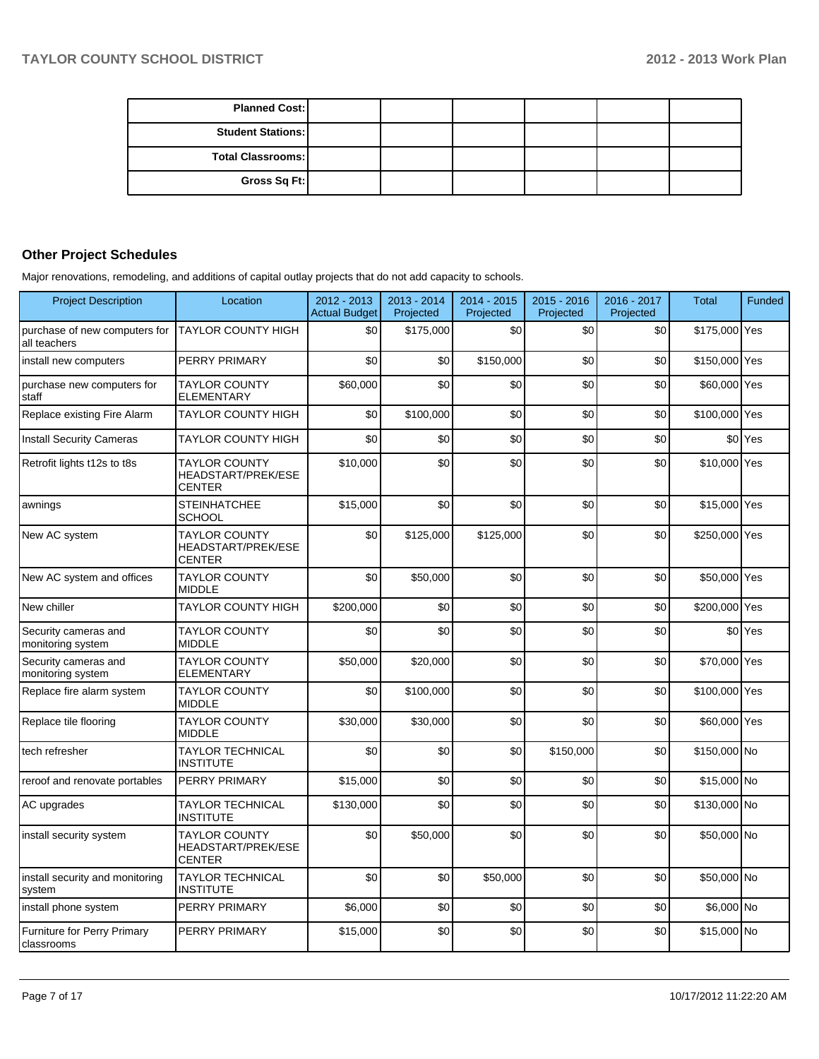| <b>Planned Cost:</b>     |  |  |  |
|--------------------------|--|--|--|
| <b>Student Stations:</b> |  |  |  |
| <b>Total Classrooms:</b> |  |  |  |
| Gross Sq Ft:             |  |  |  |

### **Other Project Schedules**

Major renovations, remodeling, and additions of capital outlay projects that do not add capacity to schools.

| <b>Project Description</b>                       | Location                                                           | 2012 - 2013<br><b>Actual Budget</b> | 2013 - 2014<br>Projected | $2014 - 2015$<br>Projected | $2015 - 2016$<br>Projected | 2016 - 2017<br>Projected | <b>Total</b>  | <b>Funded</b>        |
|--------------------------------------------------|--------------------------------------------------------------------|-------------------------------------|--------------------------|----------------------------|----------------------------|--------------------------|---------------|----------------------|
| purchase of new computers for<br>all teachers    | <b>TAYLOR COUNTY HIGH</b>                                          | \$0                                 | \$175,000                | \$0                        | \$0                        | \$0                      | \$175,000 Yes |                      |
| install new computers                            | PERRY PRIMARY                                                      | \$0                                 | \$0                      | \$150,000                  | \$0                        | \$0                      | \$150,000 Yes |                      |
| purchase new computers for<br>staff              | <b>TAYLOR COUNTY</b><br>ELEMENTARY                                 | \$60,000                            | \$0                      | \$0                        | \$0                        | \$0                      | \$60,000 Yes  |                      |
| Replace existing Fire Alarm                      | <b>TAYLOR COUNTY HIGH</b>                                          | \$0                                 | \$100,000                | \$0                        | \$0                        | \$0                      | \$100,000 Yes |                      |
| <b>Install Security Cameras</b>                  | TAYLOR COUNTY HIGH                                                 | \$0                                 | \$0                      | \$0                        | \$0                        | \$0                      |               | \$0 <sup>l</sup> Yes |
| Retrofit lights t12s to t8s                      | <b>TAYLOR COUNTY</b><br>HEADSTART/PREK/ESE<br><b>CENTER</b>        | \$10,000                            | \$0                      | \$0                        | \$0                        | \$0                      | \$10,000 Yes  |                      |
| awnings                                          | <b>STEINHATCHEE</b><br>SCHOOL                                      | \$15,000                            | \$0                      | \$0                        | \$0                        | \$0                      | \$15,000 Yes  |                      |
| New AC system                                    | <b>TAYLOR COUNTY</b><br><b>HEADSTART/PREK/ESE</b><br><b>CENTER</b> | \$0                                 | \$125,000                | \$125,000                  | \$0                        | \$0                      | \$250,000 Yes |                      |
| New AC system and offices                        | <b>TAYLOR COUNTY</b><br><b>MIDDLE</b>                              | \$0                                 | \$50,000                 | \$0                        | \$0                        | \$0                      | \$50,000 Yes  |                      |
| New chiller                                      | <b>TAYLOR COUNTY HIGH</b>                                          | \$200,000                           | \$0                      | \$0                        | \$0                        | \$0                      | \$200,000 Yes |                      |
| Security cameras and<br>monitoring system        | <b>TAYLOR COUNTY</b><br><b>MIDDLE</b>                              | \$0                                 | \$0                      | \$0                        | \$0                        | \$0                      |               | \$0 <sup>l</sup> Yes |
| Security cameras and<br>monitoring system        | <b>TAYLOR COUNTY</b><br><b>ELEMENTARY</b>                          | \$50,000                            | \$20,000                 | \$0                        | \$0                        | \$0                      | \$70,000 Yes  |                      |
| Replace fire alarm system                        | <b>TAYLOR COUNTY</b><br><b>MIDDLE</b>                              | \$0                                 | \$100,000                | \$0                        | \$0                        | \$0                      | \$100,000 Yes |                      |
| Replace tile flooring                            | <b>TAYLOR COUNTY</b><br><b>MIDDLE</b>                              | \$30,000                            | \$30,000                 | \$0                        | \$0                        | \$0                      | \$60,000 Yes  |                      |
| tech refresher                                   | <b>TAYLOR TECHNICAL</b><br><b>INSTITUTE</b>                        | \$0                                 | \$0                      | \$0                        | \$150,000                  | \$0                      | \$150,000 No  |                      |
| reroof and renovate portables                    | PERRY PRIMARY                                                      | \$15,000                            | \$0                      | \$0                        | \$0                        | \$0                      | \$15,000 No   |                      |
| AC upgrades                                      | <b>TAYLOR TECHNICAL</b><br><b>INSTITUTE</b>                        | \$130,000                           | \$0                      | \$0                        | \$0                        | \$0                      | \$130,000 No  |                      |
| install security system                          | <b>TAYLOR COUNTY</b><br>HEADSTART/PREK/ESE<br><b>CENTER</b>        | \$0                                 | \$50,000                 | \$0                        | \$0                        | \$0                      | \$50,000 No   |                      |
| install security and monitoring<br>system        | <b>TAYLOR TECHNICAL</b><br><b>INSTITUTE</b>                        | \$0                                 | \$0                      | \$50,000                   | \$0                        | \$0                      | \$50,000 No   |                      |
| install phone system                             | PERRY PRIMARY                                                      | \$6,000                             | \$0                      | \$0                        | \$0                        | \$0                      | \$6,000 No    |                      |
| <b>Furniture for Perry Primary</b><br>classrooms | PERRY PRIMARY                                                      | \$15,000                            | \$0                      | \$0                        | \$0                        | \$0                      | \$15,000 No   |                      |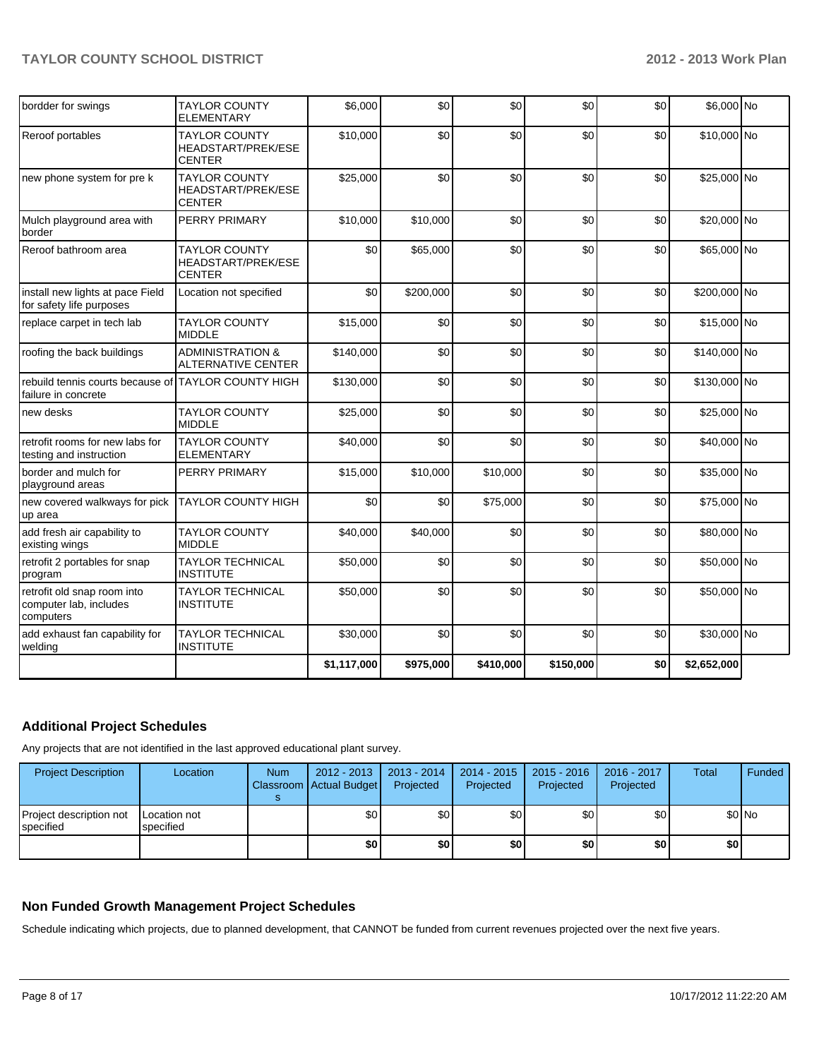| retrofit 2 portables for snap<br>program                                   | <b>TAYLOR TECHNICAL</b><br><b>INSTITUTE</b>                        | \$50,000  |           |          |     | \$0 | \$50,000 No  |  |
|----------------------------------------------------------------------------|--------------------------------------------------------------------|-----------|-----------|----------|-----|-----|--------------|--|
|                                                                            |                                                                    |           | \$0       | \$0      | \$0 |     |              |  |
| add fresh air capability to<br>existing wings                              | <b>TAYLOR COUNTY</b><br><b>MIDDLE</b>                              | \$40,000  | \$40,000  | \$0      | \$0 | \$0 | \$80,000 No  |  |
| new covered walkways for pick<br>up area                                   | <b>TAYLOR COUNTY HIGH</b>                                          | \$0       | \$0       | \$75,000 | \$0 | \$0 | \$75,000 No  |  |
| border and mulch for<br>playground areas                                   | PERRY PRIMARY                                                      | \$15,000  | \$10,000  | \$10,000 | \$0 | \$0 | \$35,000 No  |  |
| retrofit rooms for new labs for<br>testing and instruction                 | <b>TAYLOR COUNTY</b><br><b>ELEMENTARY</b>                          | \$40,000  | \$0       | \$0      | \$0 | \$0 | \$40,000 No  |  |
| new desks                                                                  | <b>TAYLOR COUNTY</b><br><b>MIDDLE</b>                              | \$25,000  | \$0       | \$0      | \$0 | \$0 | \$25,000 No  |  |
| rebuild tennis courts because of TAYLOR COUNTY HIGH<br>failure in concrete |                                                                    | \$130,000 | \$0       | \$0      | \$0 | \$0 | \$130,000 No |  |
| roofing the back buildings                                                 | <b>ADMINISTRATION &amp;</b><br><b>ALTERNATIVE CENTER</b>           | \$140,000 | \$0       | \$0      | \$0 | \$0 | \$140,000 No |  |
| replace carpet in tech lab                                                 | <b>TAYLOR COUNTY</b><br><b>MIDDLE</b>                              | \$15,000  | \$0       | \$0      | \$0 | \$0 | \$15,000 No  |  |
| install new lights at pace Field<br>for safety life purposes               | Location not specified                                             | \$0       | \$200,000 | \$0      | \$0 | \$0 | \$200,000 No |  |
| Reroof bathroom area                                                       | <b>TAYLOR COUNTY</b><br>HEADSTART/PREK/ESE<br><b>CENTER</b>        | \$0       | \$65,000  | \$0      | \$0 | \$0 | \$65,000 No  |  |
| Mulch playground area with<br>border                                       | PERRY PRIMARY                                                      | \$10,000  | \$10,000  | \$0      | \$0 | \$0 | \$20,000 No  |  |
| new phone system for pre k                                                 | <b>TAYLOR COUNTY</b><br>HEADSTART/PREK/ESE<br><b>CENTER</b>        | \$25,000  | \$0       | \$0      | \$0 | \$0 | \$25,000 No  |  |
| Reroof portables                                                           | <b>TAYLOR COUNTY</b><br><b>HEADSTART/PREK/ESE</b><br><b>CENTER</b> | \$10,000  | \$0       | \$0      | \$0 | \$0 | \$10,000 No  |  |
| bordder for swings                                                         | <b>TAYLOR COUNTY</b><br><b>ELEMENTARY</b>                          | \$6,000   | \$0       | \$0      | \$0 | \$0 | \$6,000 No   |  |

# **Additional Project Schedules**

Any projects that are not identified in the last approved educational plant survey.

| <b>Project Description</b>                    | Location                  | <b>Num</b> | $2012 - 2013$<br>Classroom Actual Budget | 2013 - 2014<br>Projected | $2014 - 2015$<br>Projected | $2015 - 2016$<br>Projected | 2016 - 2017<br>Projected | Total | Funded |
|-----------------------------------------------|---------------------------|------------|------------------------------------------|--------------------------|----------------------------|----------------------------|--------------------------|-------|--------|
| Project description not<br><b>I</b> specified | Location not<br>specified |            | \$0                                      | \$0                      | \$0                        | \$0                        | \$0 <sub>1</sub>         |       | \$0 No |
|                                               |                           |            | \$0                                      | \$0                      | \$0                        | \$0                        | \$0                      | ا80   |        |

## **Non Funded Growth Management Project Schedules**

Schedule indicating which projects, due to planned development, that CANNOT be funded from current revenues projected over the next five years.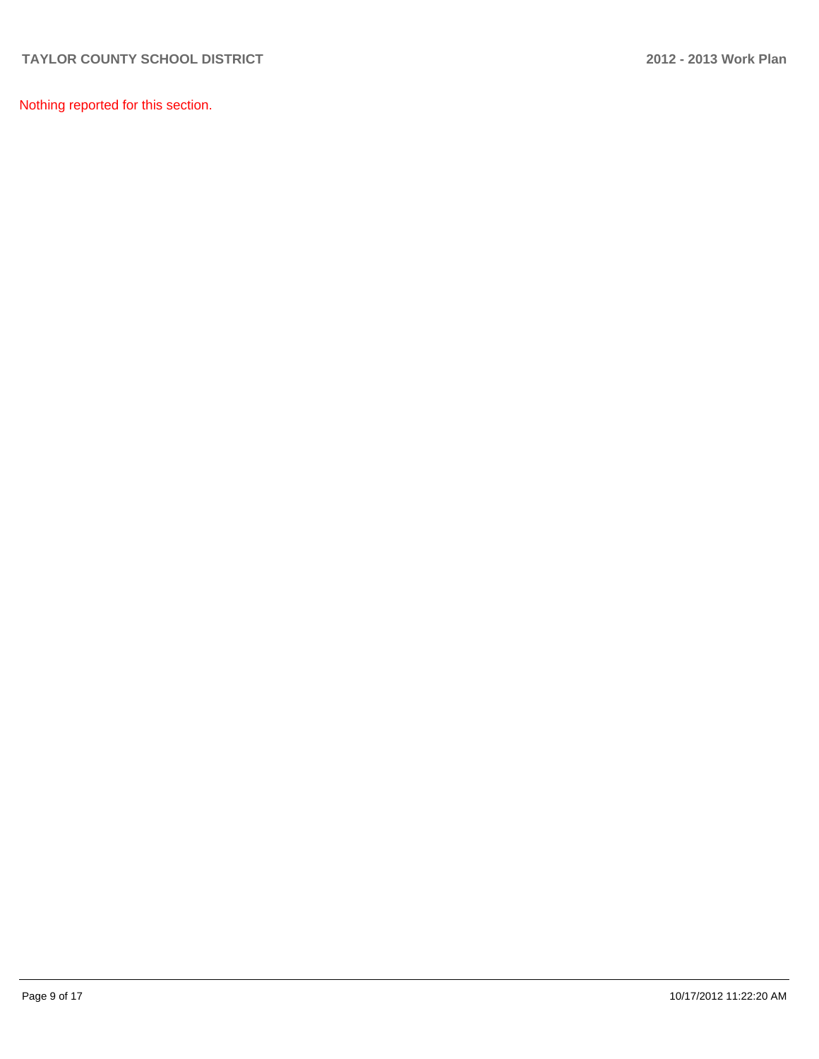Nothing reported for this section.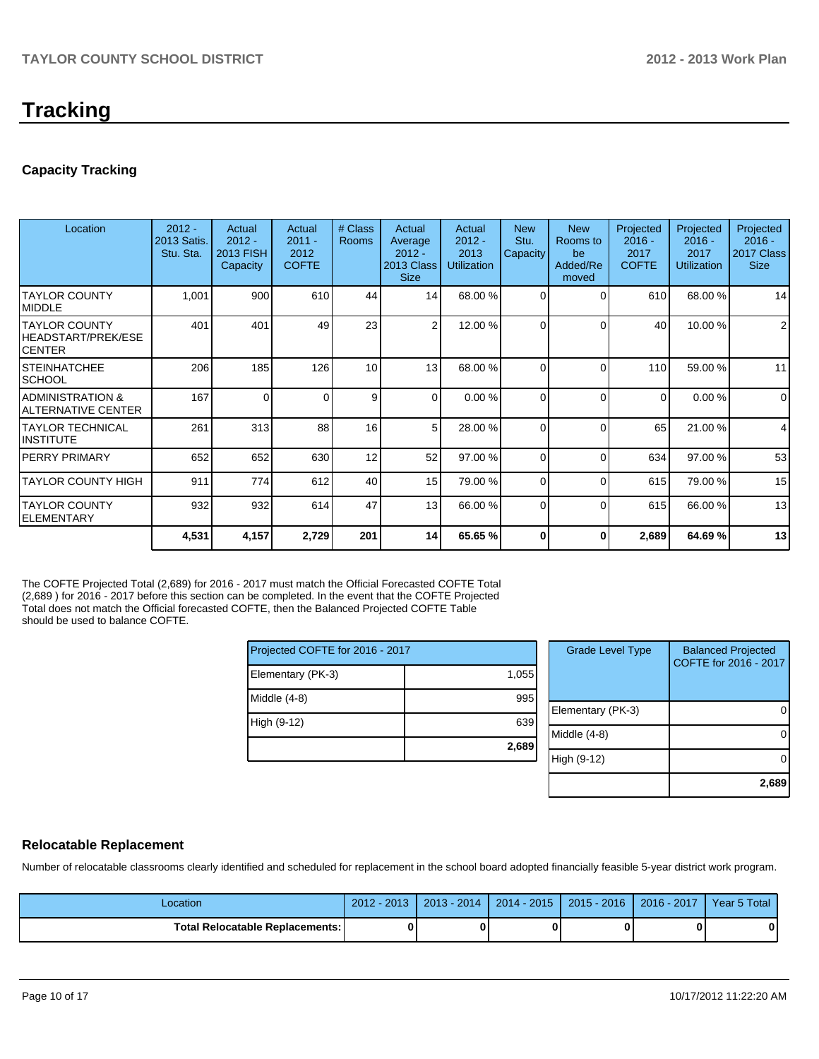# **Tracking**

## **Capacity Tracking**

| Location                                        | $2012 -$<br>2013 Satis.<br>Stu. Sta. | Actual<br>$2012 -$<br>2013 FISH<br>Capacity | Actual<br>$2011 -$<br>2012<br><b>COFTE</b> | # Class<br><b>Rooms</b> | Actual<br>Average<br>$2012 -$<br>2013 Class<br><b>Size</b> | Actual<br>$2012 -$<br>2013<br><b>Utilization</b> | <b>New</b><br>Stu.<br>Capacity | <b>New</b><br>Rooms to<br>be<br>Added/Re<br>moved | Projected<br>$2016 -$<br>2017<br><b>COFTE</b> | Projected<br>$2016 -$<br>2017<br><b>Utilization</b> | Projected<br>$2016 -$<br>2017 Class<br><b>Size</b> |
|-------------------------------------------------|--------------------------------------|---------------------------------------------|--------------------------------------------|-------------------------|------------------------------------------------------------|--------------------------------------------------|--------------------------------|---------------------------------------------------|-----------------------------------------------|-----------------------------------------------------|----------------------------------------------------|
| <b>TAYLOR COUNTY</b><br><b>IMIDDLE</b>          | 1,001                                | 900                                         | 610                                        | 44                      | 14                                                         | 68.00 %                                          | $\Omega$                       | $\Omega$                                          | 610                                           | 68.00%                                              | 14                                                 |
| ITAYLOR COUNTY<br>HEADSTART/PREK/ESE<br>ICENTER | 401                                  | 401                                         | 49                                         | 23                      | $\overline{2}$                                             | 12.00 %                                          | $\Omega$                       | $\Omega$                                          | 40                                            | 10.00 %                                             | $\overline{2}$                                     |
| ISTEINHATCHEE<br>ISCHOOL                        | 206                                  | 185                                         | 126                                        | 10 <sup>1</sup>         | 13                                                         | 68.00 %                                          | $\Omega$                       | $\Omega$                                          | 110                                           | 59.00 %                                             | 11                                                 |
| IADMINISTRATION &<br>IALTERNATIVE CENTER        | 167                                  | 0                                           | 0                                          | 9                       | $\Omega$                                                   | 0.00%                                            | $\Omega$                       | $\Omega$                                          | 0                                             | 0.00%                                               | $\mathbf 0$                                        |
| ITAYLOR TECHNICAL<br>IINSTITUTE                 | 261                                  | 313                                         | 88                                         | 16                      | 5 <sup>1</sup>                                             | 28.00 %                                          | $\Omega$                       | $\Omega$                                          | 65                                            | 21.00 %                                             | 4                                                  |
| IPERRY PRIMARY                                  | 652                                  | 652                                         | 630                                        | 12                      | 52                                                         | 97.00 %                                          | $\Omega$                       | $\Omega$                                          | 634                                           | 97.00 %                                             | 53                                                 |
| <b>TAYLOR COUNTY HIGH</b>                       | 911                                  | 774                                         | 612                                        | 40                      | 15                                                         | 79.00 %                                          | $\Omega$                       | $\Omega$                                          | 615                                           | 79.00 %                                             | 15                                                 |
| ITAYLOR COUNTY<br>IELEMENTARY                   | 932                                  | 932                                         | 614                                        | 47                      | 13                                                         | 66.00 %                                          | $\Omega$                       | $\Omega$                                          | 615                                           | 66.00 %                                             | 13                                                 |
|                                                 | 4,531                                | 4,157                                       | 2,729                                      | 201                     | 14                                                         | 65.65 %                                          | 0                              | 0                                                 | 2,689                                         | 64.69%                                              | 13                                                 |

The COFTE Projected Total (2,689) for 2016 - 2017 must match the Official Forecasted COFTE Total (2,689 ) for 2016 - 2017 before this section can be completed. In the event that the COFTE Projected Total does not match the Official forecasted COFTE, then the Balanced Projected COFTE Table should be used to balance COFTE.

| Projected COFTE for 2016 - 2017 |       |  |  |  |  |
|---------------------------------|-------|--|--|--|--|
| Elementary (PK-3)               | 1,055 |  |  |  |  |
| Middle $(4-8)$                  | 995   |  |  |  |  |
| High (9-12)                     | 639   |  |  |  |  |
|                                 | 2,689 |  |  |  |  |

| <b>Grade Level Type</b> | <b>Balanced Projected</b><br>COFTE for 2016 - 2017 |
|-------------------------|----------------------------------------------------|
| Elementary (PK-3)       |                                                    |
| Middle $(4-8)$          |                                                    |
| High (9-12)             |                                                    |
|                         | 2,689                                              |

## **Relocatable Replacement**

Number of relocatable classrooms clearly identified and scheduled for replacement in the school board adopted financially feasible 5-year district work program.

| Location                          | 2012 - 2013 | $2013 - 2014$ | $2014 - 2015$ | $2015 - 2016$ | $2016 - 2017$ | Year 5 Total |
|-----------------------------------|-------------|---------------|---------------|---------------|---------------|--------------|
| Total Relocatable Replacements: I | 0           |               |               |               |               | 0            |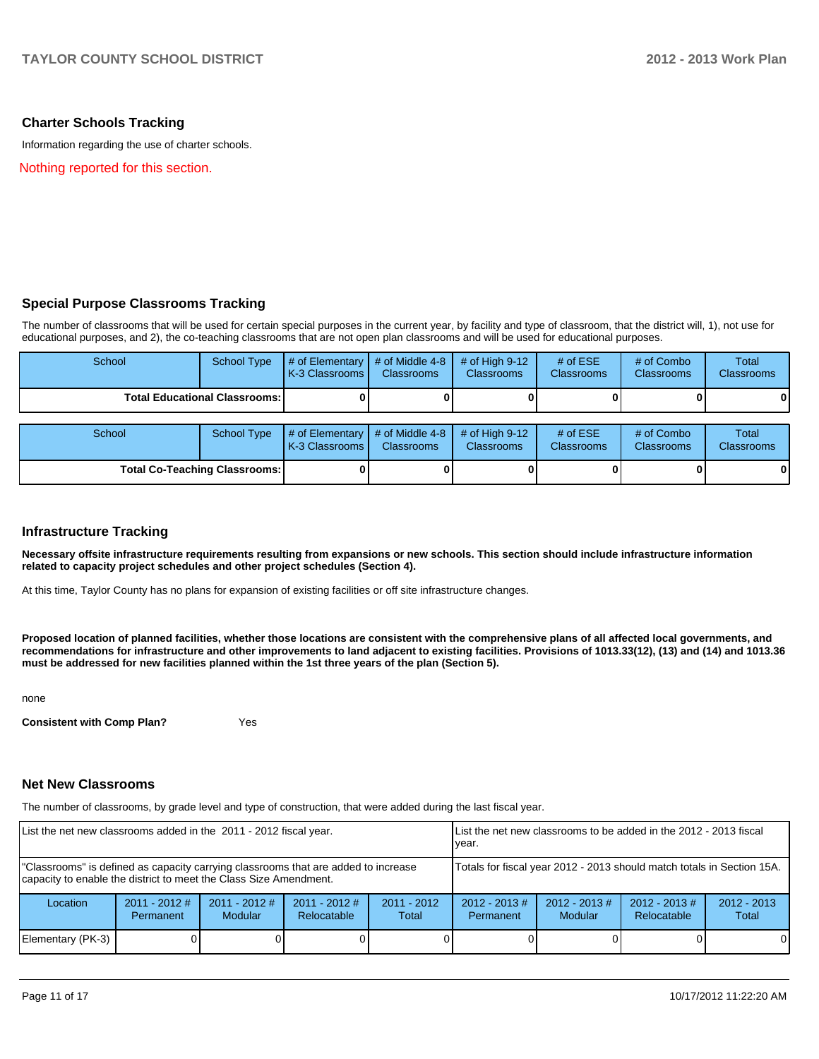### **Charter Schools Tracking**

Information regarding the use of charter schools.

Nothing reported for this section.

### **Special Purpose Classrooms Tracking**

The number of classrooms that will be used for certain special purposes in the current year, by facility and type of classroom, that the district will, 1), not use for educational purposes, and 2), the co-teaching classrooms that are not open plan classrooms and will be used for educational purposes.

| School                                 | School Type | $#$ of Elementary<br>K-3 Classrooms | # of Middle 4-8<br><b>Classrooms</b> | # of High $9-12$<br><b>Classrooms</b> | # of $ESE$<br><b>Classrooms</b> | # of Combo<br><b>Classrooms</b> | <b>Total</b><br><b>Classrooms</b> |
|----------------------------------------|-------------|-------------------------------------|--------------------------------------|---------------------------------------|---------------------------------|---------------------------------|-----------------------------------|
| <b>Total Educational Classrooms: I</b> |             |                                     |                                      |                                       |                                 |                                 | $\mathbf{0}$                      |
| School                                 | School Type | # of Elementary<br>K-3 Classrooms   | # of Middle 4-8<br><b>Classrooms</b> | # of High $9-12$<br><b>Classrooms</b> | # of $ESE$<br>Classrooms        | # of Combo<br><b>Classrooms</b> | Total<br><b>Classrooms</b>        |
| <b>Total Co-Teaching Classrooms:</b>   |             |                                     |                                      |                                       |                                 | 0                               |                                   |

### **Infrastructure Tracking**

**Necessary offsite infrastructure requirements resulting from expansions or new schools. This section should include infrastructure information related to capacity project schedules and other project schedules (Section 4).**

At this time, Taylor County has no plans for expansion of existing facilities or off site infrastructure changes.

**Proposed location of planned facilities, whether those locations are consistent with the comprehensive plans of all affected local governments, and recommendations for infrastructure and other improvements to land adjacent to existing facilities. Provisions of 1013.33(12), (13) and (14) and 1013.36 must be addressed for new facilities planned within the 1st three years of the plan (Section 5).**

none

**Consistent with Comp Plan?** Yes

### **Net New Classrooms**

The number of classrooms, by grade level and type of construction, that were added during the last fiscal year.

| List the net new classrooms added in the 2011 - 2012 fiscal year.                                                                                       | List the net new classrooms to be added in the 2012 - 2013 fiscal<br>Ivear. |                                   |                                |                        |                                                                                                                                  |  |  |   |
|---------------------------------------------------------------------------------------------------------------------------------------------------------|-----------------------------------------------------------------------------|-----------------------------------|--------------------------------|------------------------|----------------------------------------------------------------------------------------------------------------------------------|--|--|---|
| "Classrooms" is defined as capacity carrying classrooms that are added to increase<br>capacity to enable the district to meet the Class Size Amendment. | Totals for fiscal year 2012 - 2013 should match totals in Section 15A.      |                                   |                                |                        |                                                                                                                                  |  |  |   |
| Location                                                                                                                                                | $2011 - 2012$ #<br>Permanent                                                | $2011 - 2012$ #<br><b>Modular</b> | $2011 - 2012$ #<br>Relocatable | $2011 - 2012$<br>Total | $2012 - 2013 \#$<br>$2012 - 2013 \#$<br>$2012 - 2013 \#$<br>$2012 - 2013$<br><b>Modular</b><br>Relocatable<br>Permanent<br>Total |  |  |   |
| Elementary (PK-3)                                                                                                                                       |                                                                             |                                   |                                |                        |                                                                                                                                  |  |  | 0 |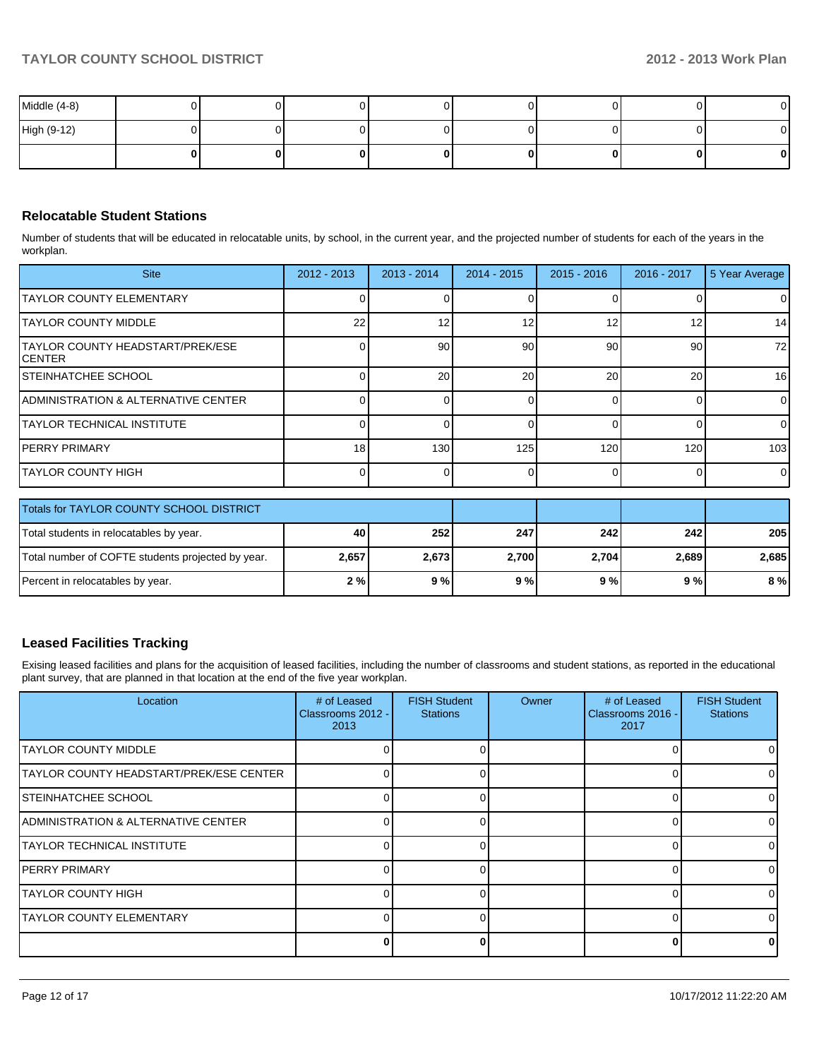| Middle (4-8) |  | .  |  |    | $\mathbf{0}$ |
|--------------|--|----|--|----|--------------|
| High (9-12)  |  | ш  |  |    | ΟI           |
|              |  | 01 |  | 01 | $\mathbf{0}$ |

## **Relocatable Student Stations**

Number of students that will be educated in relocatable units, by school, in the current year, and the projected number of students for each of the years in the workplan.

| <b>Site</b>                                 | $2012 - 2013$ | $2013 - 2014$   | $2014 - 2015$ | $2015 - 2016$ | 2016 - 2017 | 5 Year Average  |
|---------------------------------------------|---------------|-----------------|---------------|---------------|-------------|-----------------|
| <b>ITAYLOR COUNTY ELEMENTARY</b>            |               |                 |               |               |             | 0               |
| <b>ITAYLOR COUNTY MIDDLE</b>                | 22            | 12              | 12            | 12            | 12          | 14              |
| TAYLOR COUNTY HEADSTART/PREK/ESE<br>ICENTER |               | 90 <sup>1</sup> | 90            | 90            | 90          | 72              |
| ISTEINHATCHEE SCHOOL                        |               | 20 <sup>1</sup> | 20            | 20            | 20          | 16 <sup>1</sup> |
| IADMINISTRATION & ALTERNATIVE CENTER        |               |                 |               |               |             | 0               |
| ITAYLOR TECHNICAL INSTITUTE                 |               |                 |               |               |             | $\overline{0}$  |
| IPERRY PRIMARY                              | 18            | 130             | 125           | 120           | 120         | 103             |
| ITAYLOR COUNTY HIGH                         |               |                 |               |               |             | $\overline{0}$  |

| Totals for TAYLOR COUNTY SCHOOL DISTRICT          |       |       |       |       |       |       |
|---------------------------------------------------|-------|-------|-------|-------|-------|-------|
| Total students in relocatables by year.           | 40    | 252   | 247   | 242   | 242   | 205   |
| Total number of COFTE students projected by year. | 2,657 | 2,673 | 2.700 | 2,704 | 2.689 | 2,685 |
| Percent in relocatables by year.                  | 2 % I | 9%    | 9%    | 9 % l | 9 % l | 8%    |

## **Leased Facilities Tracking**

Exising leased facilities and plans for the acquisition of leased facilities, including the number of classrooms and student stations, as reported in the educational plant survey, that are planned in that location at the end of the five year workplan.

| Location                                | # of Leased<br>Classrooms 2012 -<br>2013 | <b>FISH Student</b><br><b>Stations</b> | Owner | # of Leased<br>Classrooms 2016 -<br>2017 | <b>FISH Student</b><br><b>Stations</b> |
|-----------------------------------------|------------------------------------------|----------------------------------------|-------|------------------------------------------|----------------------------------------|
| <b>ITAYLOR COUNTY MIDDLE</b>            |                                          |                                        |       |                                          |                                        |
| TAYLOR COUNTY HEADSTART/PREK/ESE CENTER |                                          |                                        |       |                                          |                                        |
| ISTEINHATCHEE SCHOOL                    |                                          |                                        |       |                                          |                                        |
| IADMINISTRATION & ALTERNATIVE CENTER    |                                          |                                        |       |                                          |                                        |
| <b>TAYLOR TECHNICAL INSTITUTE</b>       |                                          |                                        |       |                                          |                                        |
| <b>IPERRY PRIMARY</b>                   |                                          |                                        |       |                                          |                                        |
| <b>TAYLOR COUNTY HIGH</b>               |                                          |                                        |       |                                          |                                        |
| <b>ITAYLOR COUNTY ELEMENTARY</b>        |                                          |                                        |       |                                          |                                        |
|                                         |                                          |                                        |       |                                          |                                        |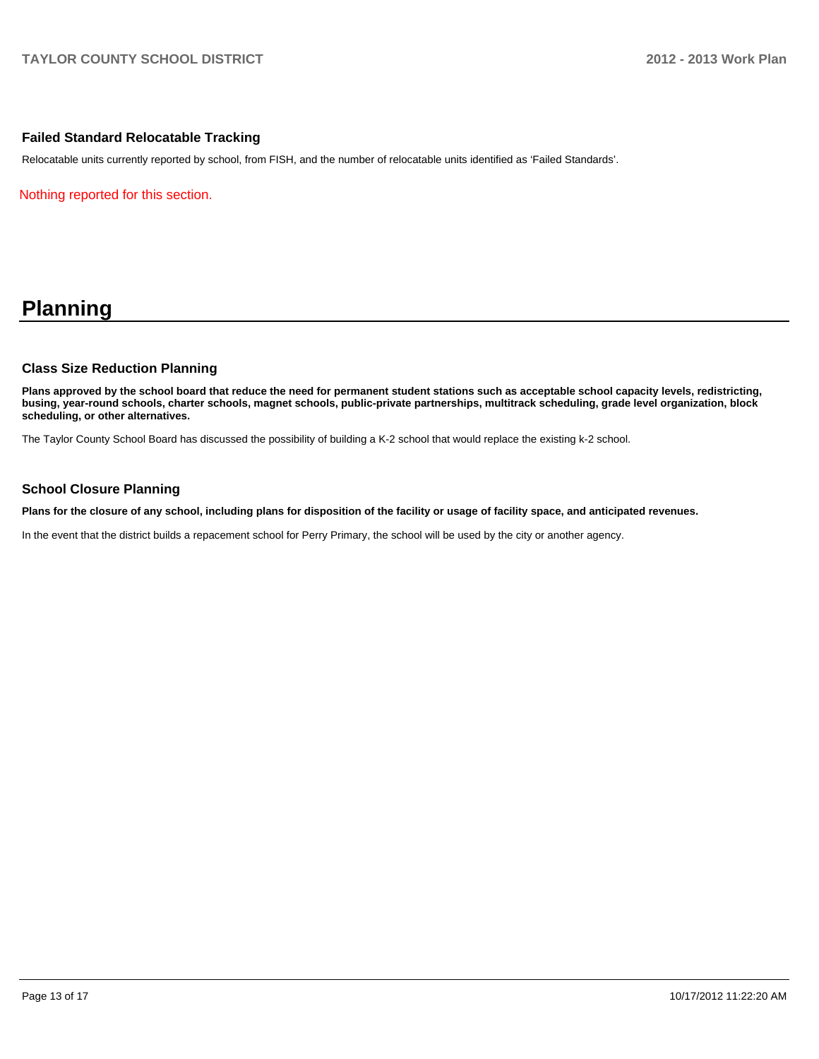### **Failed Standard Relocatable Tracking**

Relocatable units currently reported by school, from FISH, and the number of relocatable units identified as 'Failed Standards'.

Nothing reported for this section.

# **Planning**

#### **Class Size Reduction Planning**

**Plans approved by the school board that reduce the need for permanent student stations such as acceptable school capacity levels, redistricting, busing, year-round schools, charter schools, magnet schools, public-private partnerships, multitrack scheduling, grade level organization, block scheduling, or other alternatives.**

The Taylor County School Board has discussed the possibility of building a K-2 school that would replace the existing k-2 school.

#### **School Closure Planning**

**Plans for the closure of any school, including plans for disposition of the facility or usage of facility space, and anticipated revenues.**

In the event that the district builds a repacement school for Perry Primary, the school will be used by the city or another agency.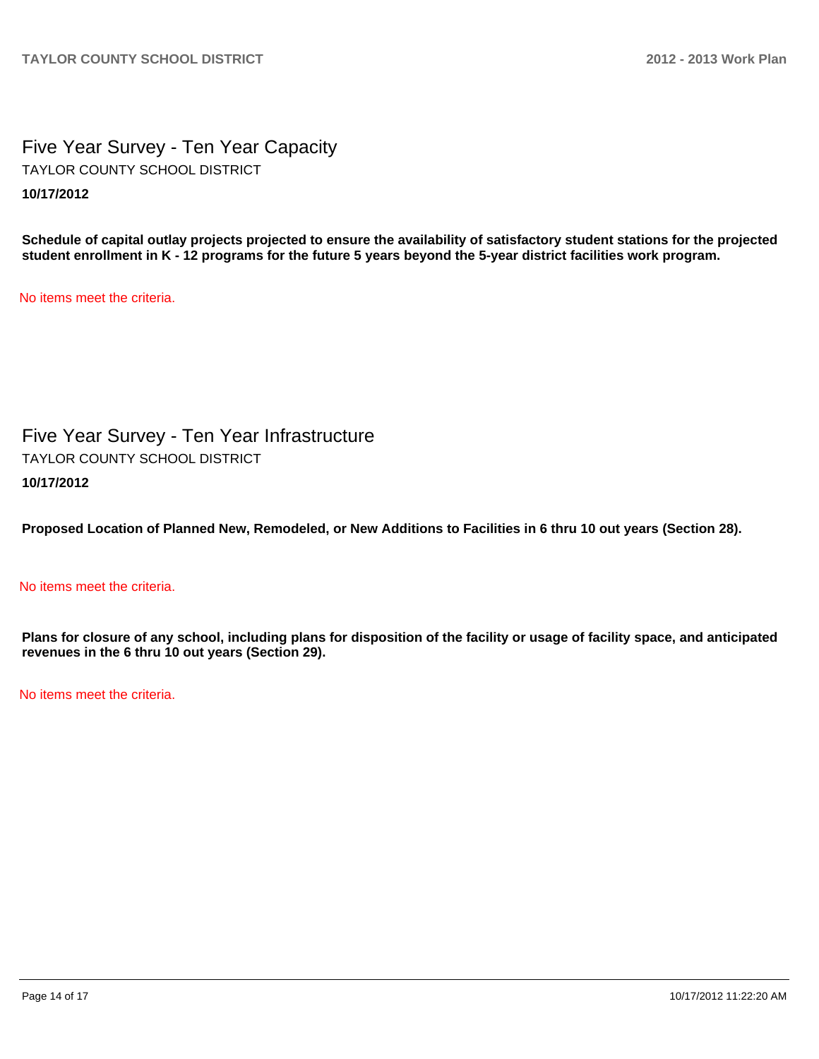Five Year Survey - Ten Year Capacity **10/17/2012** TAYLOR COUNTY SCHOOL DISTRICT

**Schedule of capital outlay projects projected to ensure the availability of satisfactory student stations for the projected student enrollment in K - 12 programs for the future 5 years beyond the 5-year district facilities work program.**

No items meet the criteria.

Five Year Survey - Ten Year Infrastructure **10/17/2012** TAYLOR COUNTY SCHOOL DISTRICT

**Proposed Location of Planned New, Remodeled, or New Additions to Facilities in 6 thru 10 out years (Section 28).**

No items meet the criteria.

**Plans for closure of any school, including plans for disposition of the facility or usage of facility space, and anticipated revenues in the 6 thru 10 out years (Section 29).**

No items meet the criteria.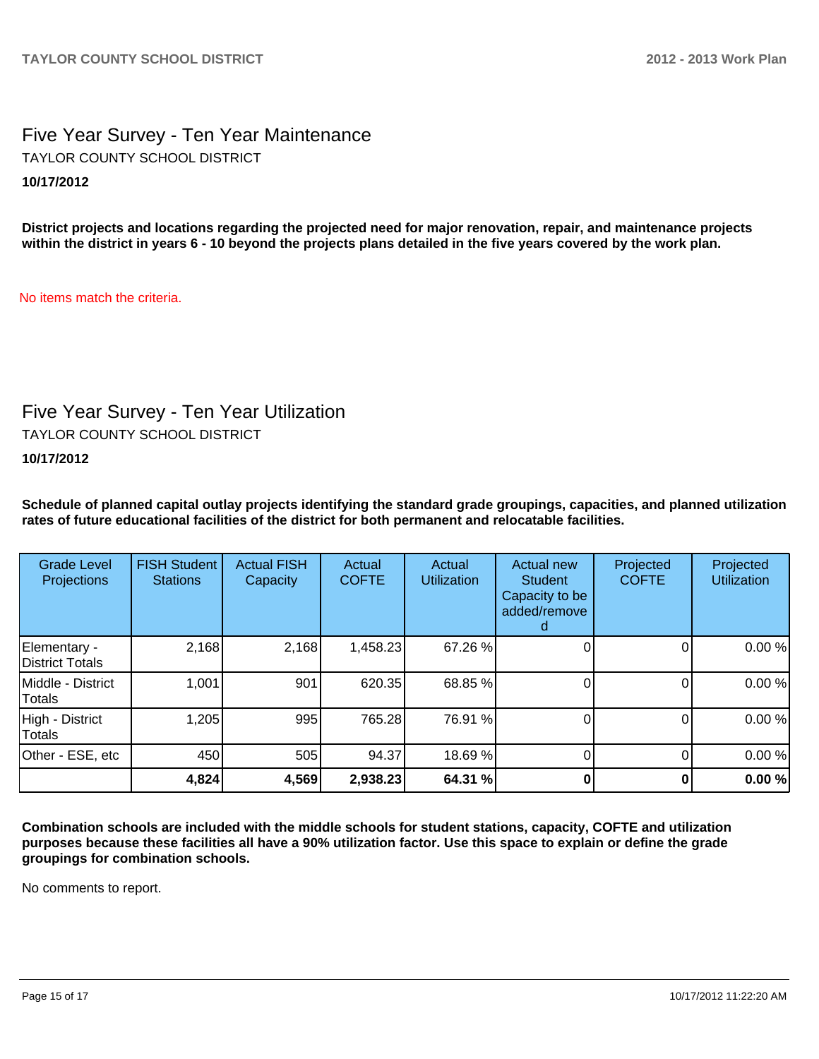# Five Year Survey - Ten Year Maintenance **10/17/2012** TAYLOR COUNTY SCHOOL DISTRICT

**District projects and locations regarding the projected need for major renovation, repair, and maintenance projects within the district in years 6 - 10 beyond the projects plans detailed in the five years covered by the work plan.**

No items match the criteria.

# Five Year Survey - Ten Year Utilization

TAYLOR COUNTY SCHOOL DISTRICT

## **10/17/2012**

**Schedule of planned capital outlay projects identifying the standard grade groupings, capacities, and planned utilization rates of future educational facilities of the district for both permanent and relocatable facilities.**

| <b>Grade Level</b><br>Projections | <b>FISH Student</b><br><b>Stations</b> | <b>Actual FISH</b><br>Capacity | Actual<br><b>COFTE</b> | Actual<br><b>Utilization</b> | Actual new<br><b>Student</b><br>Capacity to be<br>added/remove | Projected<br><b>COFTE</b> | Projected<br><b>Utilization</b> |
|-----------------------------------|----------------------------------------|--------------------------------|------------------------|------------------------------|----------------------------------------------------------------|---------------------------|---------------------------------|
| Elementary -<br>District Totals   | 2,168                                  | 2,168                          | 1,458.23               | 67.26 %                      |                                                                |                           | 0.00%                           |
| IMiddle - District<br>Totals      | 1,001                                  | 901                            | 620.35                 | 68.85 %                      |                                                                |                           | 0.00%                           |
| High - District<br>Totals         | 1,205                                  | 995                            | 765.28                 | 76.91 %                      |                                                                | 0                         | 0.00%                           |
| Other - ESE, etc                  | 450                                    | 505                            | 94.37                  | 18.69 %                      |                                                                | 0                         | 0.00%                           |
|                                   | 4,824                                  | 4,569                          | 2,938.23               | 64.31 %                      |                                                                |                           | 0.00%                           |

**Combination schools are included with the middle schools for student stations, capacity, COFTE and utilization purposes because these facilities all have a 90% utilization factor. Use this space to explain or define the grade groupings for combination schools.**

No comments to report.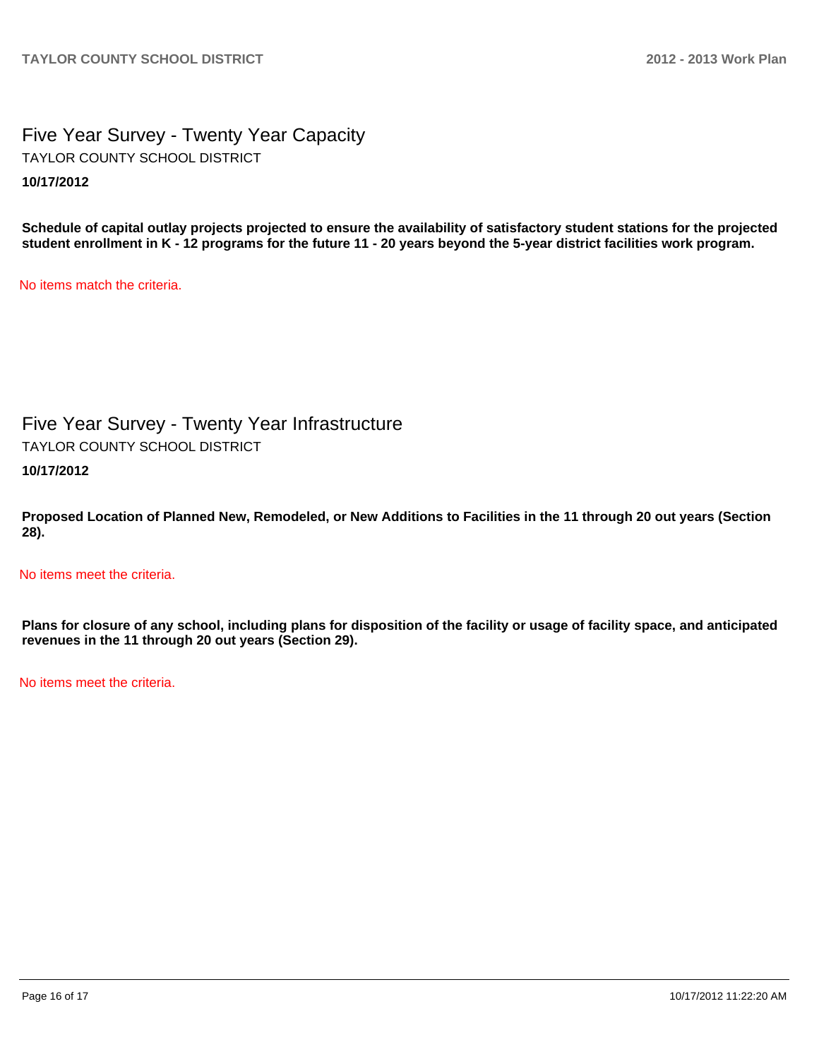Five Year Survey - Twenty Year Capacity **10/17/2012** TAYLOR COUNTY SCHOOL DISTRICT

**Schedule of capital outlay projects projected to ensure the availability of satisfactory student stations for the projected student enrollment in K - 12 programs for the future 11 - 20 years beyond the 5-year district facilities work program.**

No items match the criteria.

Five Year Survey - Twenty Year Infrastructure TAYLOR COUNTY SCHOOL DISTRICT

**10/17/2012**

**Proposed Location of Planned New, Remodeled, or New Additions to Facilities in the 11 through 20 out years (Section 28).**

No items meet the criteria.

**Plans for closure of any school, including plans for disposition of the facility or usage of facility space, and anticipated revenues in the 11 through 20 out years (Section 29).**

No items meet the criteria.